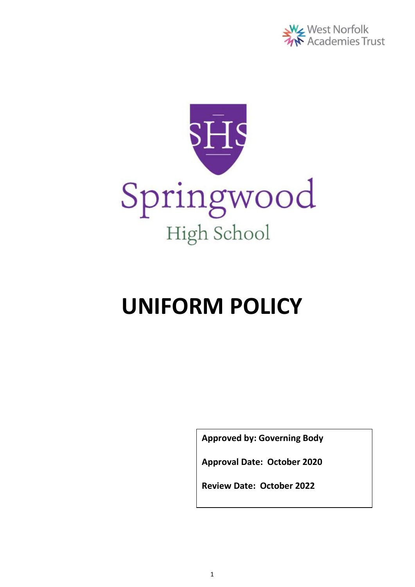



# **UNIFORM POLICY**

**Approved by: Governing Body**

**Approval Date: October 2020**

**Review Date: October 2022**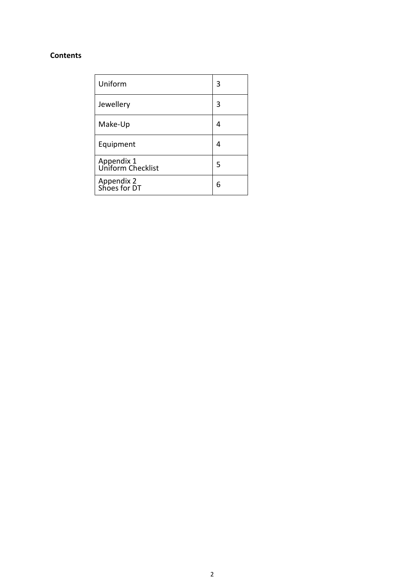#### **Contents**

| Uniform                         | 3 |
|---------------------------------|---|
| Jewellery                       | 3 |
| Make-Up                         | 4 |
| Equipment                       | 4 |
| Appendix 1<br>Uniform Checklist | 5 |
| Appendix 2<br>Shoes for DT      | 6 |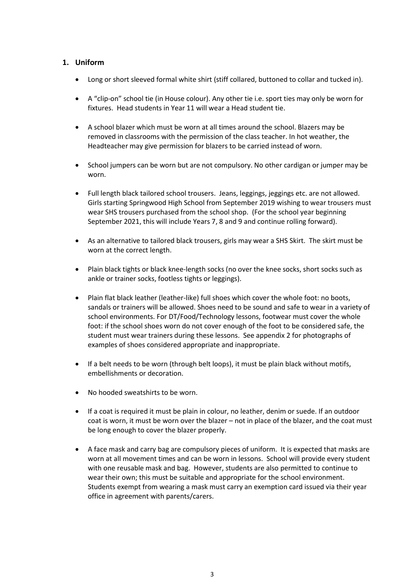#### **1. Uniform**

- Long or short sleeved formal white shirt (stiff collared, buttoned to collar and tucked in).
- A "clip-on" school tie (in House colour). Any other tie i.e. sport ties may only be worn for fixtures. Head students in Year 11 will wear a Head student tie.
- A school blazer which must be worn at all times around the school. Blazers may be removed in classrooms with the permission of the class teacher. In hot weather, the Headteacher may give permission for blazers to be carried instead of worn.
- School jumpers can be worn but are not compulsory. No other cardigan or jumper may be worn.
- Full length black tailored school trousers. Jeans, leggings, jeggings etc. are not allowed. Girls starting Springwood High School from September 2019 wishing to wear trousers must wear SHS trousers purchased from the school shop. (For the school year beginning September 2021, this will include Years 7, 8 and 9 and continue rolling forward).
- As an alternative to tailored black trousers, girls may wear a SHS Skirt. The skirt must be worn at the correct length.
- Plain black tights or black knee-length socks (no over the knee socks, short socks such as ankle or trainer socks, footless tights or leggings).
- Plain flat black leather (leather-like) full shoes which cover the whole foot: no boots, sandals or trainers will be allowed. Shoes need to be sound and safe to wear in a variety of school environments. For DT/Food/Technology lessons, footwear must cover the whole foot: if the school shoes worn do not cover enough of the foot to be considered safe, the student must wear trainers during these lessons. See appendix 2 for photographs of examples of shoes considered appropriate and inappropriate.
- If a belt needs to be worn (through belt loops), it must be plain black without motifs, embellishments or decoration.
- No hooded sweatshirts to be worn.
- If a coat is required it must be plain in colour, no leather, denim or suede. If an outdoor coat is worn, it must be worn over the blazer – not in place of the blazer, and the coat must be long enough to cover the blazer properly.
- A face mask and carry bag are compulsory pieces of uniform. It is expected that masks are worn at all movement times and can be worn in lessons. School will provide every student with one reusable mask and bag. However, students are also permitted to continue to wear their own; this must be suitable and appropriate for the school environment. Students exempt from wearing a mask must carry an exemption card issued via their year office in agreement with parents/carers.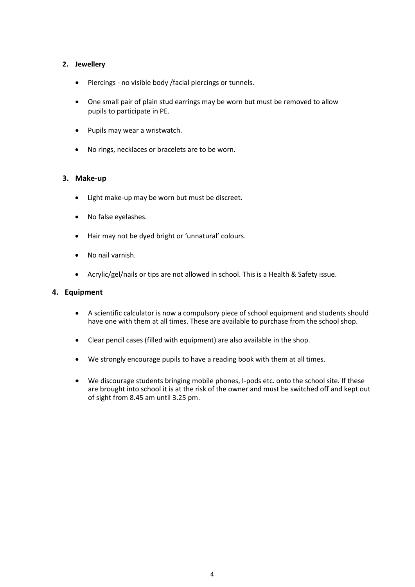#### **2. Jewellery**

- Piercings no visible body /facial piercings or tunnels.
- One small pair of plain stud earrings may be worn but must be removed to allow pupils to participate in PE.
- Pupils may wear a wristwatch.
- No rings, necklaces or bracelets are to be worn.

#### **3. Make-up**

- Light make-up may be worn but must be discreet.
- No false eyelashes.
- Hair may not be dyed bright or 'unnatural' colours.
- No nail varnish.
- Acrylic/gel/nails or tips are not allowed in school. This is a Health & Safety issue.

#### **4. Equipment**

- A scientific calculator is now a compulsory piece of school equipment and students should have one with them at all times. These are available to purchase from the school shop.
- Clear pencil cases (filled with equipment) are also available in the shop.
- We strongly encourage pupils to have a reading book with them at all times.
- We discourage students bringing mobile phones, I-pods etc. onto the school site. If these are brought into school it is at the risk of the owner and must be switched off and kept out of sight from 8.45 am until 3.25 pm.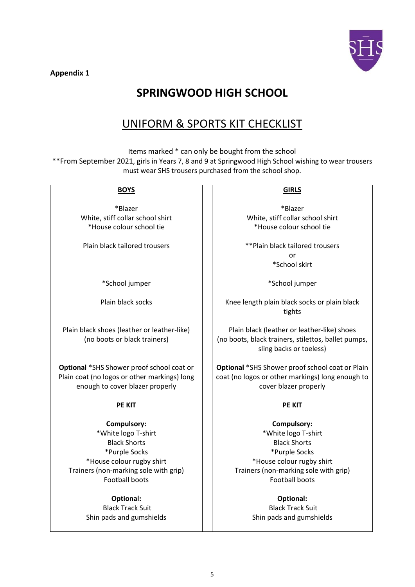**Appendix 1**



## **SPRINGWOOD HIGH SCHOOL**

## UNIFORM & SPORTS KIT CHECKLIST

Items marked \* can only be bought from the school \*\*From September 2021, girls in Years 7, 8 and 9 at Springwood High School wishing to wear trousers must wear SHS trousers purchased from the school shop.

| <b>BOYS</b>                                                                 | <b>GIRLS</b>                                                                                                                  |  |
|-----------------------------------------------------------------------------|-------------------------------------------------------------------------------------------------------------------------------|--|
|                                                                             |                                                                                                                               |  |
| *Blazer                                                                     | *Blazer                                                                                                                       |  |
| White, stiff collar school shirt                                            | White, stiff collar school shirt                                                                                              |  |
| *House colour school tie                                                    | *House colour school tie                                                                                                      |  |
| Plain black tailored trousers                                               | **Plain black tailored trousers                                                                                               |  |
|                                                                             | or                                                                                                                            |  |
|                                                                             | *School skirt                                                                                                                 |  |
| *School jumper                                                              | *School jumper                                                                                                                |  |
| Plain black socks                                                           | Knee length plain black socks or plain black<br>tights                                                                        |  |
| Plain black shoes (leather or leather-like)<br>(no boots or black trainers) | Plain black (leather or leather-like) shoes<br>(no boots, black trainers, stilettos, ballet pumps,<br>sling backs or toeless) |  |
|                                                                             |                                                                                                                               |  |
| Optional *SHS Shower proof school coat or                                   | Optional *SHS Shower proof school coat or Plain                                                                               |  |
| Plain coat (no logos or other markings) long                                | coat (no logos or other markings) long enough to                                                                              |  |
| enough to cover blazer properly                                             | cover blazer properly                                                                                                         |  |
| <b>PE KIT</b>                                                               | <b>PE KIT</b>                                                                                                                 |  |
| <b>Compulsory:</b>                                                          | Compulsory:                                                                                                                   |  |
| *White logo T-shirt                                                         | *White logo T-shirt                                                                                                           |  |
| <b>Black Shorts</b>                                                         | <b>Black Shorts</b>                                                                                                           |  |
| *Purple Socks                                                               | *Purple Socks                                                                                                                 |  |
| *House colour rugby shirt                                                   | *House colour rugby shirt                                                                                                     |  |
| Trainers (non-marking sole with grip)                                       | Trainers (non-marking sole with grip)                                                                                         |  |
| <b>Football boots</b>                                                       | <b>Football boots</b>                                                                                                         |  |
| <b>Optional:</b>                                                            | <b>Optional:</b>                                                                                                              |  |
| <b>Black Track Suit</b>                                                     | <b>Black Track Suit</b>                                                                                                       |  |
| Shin pads and gumshields                                                    | Shin pads and gumshields                                                                                                      |  |
|                                                                             |                                                                                                                               |  |